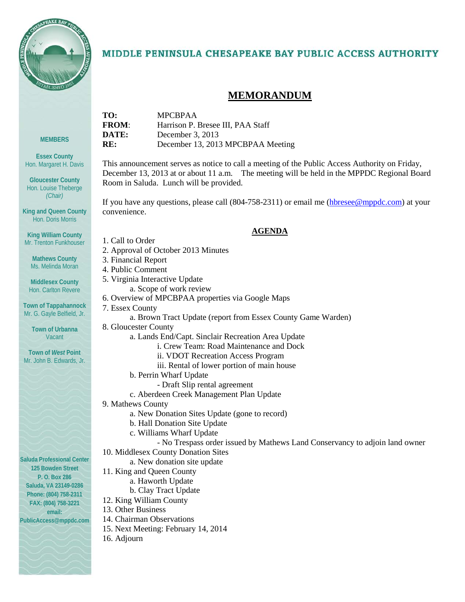

**MEMBERS**

**Essex County** Hon. Margaret H. Davis

**Gloucester County** Hon. Louise Theberge *(Chair)*

**King and Queen County** Hon. Doris Morris

**King William County** Mr. Trenton Funkhouser

**Mathews County** Ms. Melinda Moran

**Middlesex County** Hon. Carlton Revere

**Town of Tappahannock** Mr. G. Gayle Belfield, Jr.

> **Town of Urbanna Vacant**

**Town of** *West* **Point** Mr. John B. Edwards, Jr.

# MIDDLE PENINSULA CHESAPEAKE BAY PUBLIC ACCESS AUTHORITY

# **MEMORANDUM**

| TO:          | <b>MPCBPAA</b>                    |
|--------------|-----------------------------------|
| <b>FROM:</b> | Harrison P. Bresee III, PAA Staff |
| DATE:        | December 3, $2013$                |
| RE:          | December 13, 2013 MPCBPAA Meeting |
|              |                                   |

This announcement serves as notice to call a meeting of the Public Access Authority on Friday, December 13, 2013 at or about 11 a.m. The meeting will be held in the MPPDC Regional Board Room in Saluda. Lunch will be provided.

If you have any questions, please call (804-758-2311) or email me [\(hbresee@mppdc.com\)](mailto:hbresee@mppdc.com) at your convenience.

#### **AGENDA**

- 1. Call to Order
- 2. Approval of October 2013 Minutes
- 3. Financial Report
- 4. Public Comment
- 5. Virginia Interactive Update
	- a. Scope of work review
- 6. Overview of MPCBPAA properties via Google Maps
- 7. Essex County
	- a. Brown Tract Update (report from Essex County Game Warden)
- 8. Gloucester County
	- a. Lands End/Capt. Sinclair Recreation Area Update
		- i. Crew Team: Road Maintenance and Dock
		- ii. VDOT Recreation Access Program
		- iii. Rental of lower portion of main house
	- b. Perrin Wharf Update
		- Draft Slip rental agreement
	- c. Aberdeen Creek Management Plan Update
- 9. Mathews County
	- a. New Donation Sites Update (gone to record)
	- b. Hall Donation Site Update
	- c. Williams Wharf Update
		- No Trespass order issued by Mathews Land Conservancy to adjoin land owner
- 10. Middlesex County Donation Sites
	- a. New donation site update
- 11. King and Queen County
	- a. Haworth Update
	- b. Clay Tract Update
- 12. King William County
- 13. Other Business
- 14. Chairman Observations
- 15. Next Meeting: February 14, 2014
- 16. Adjourn

**Saluda Professional Center 125 Bowden Street P. O. Box 286 Saluda, VA 23149-0286 Phone: (804) 758-2311 FAX: (804) 758-3221 email:** 

**PublicAccess@mppdc.com**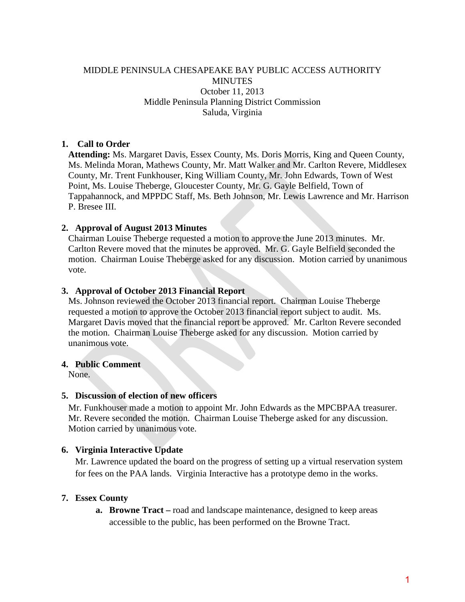### MIDDLE PENINSULA CHESAPEAKE BAY PUBLIC ACCESS AUTHORITY **MINUTES** October 11, 2013 Middle Peninsula Planning District Commission Saluda, Virginia

### **1. Call to Order**

**Attending:** Ms. Margaret Davis, Essex County, Ms. Doris Morris, King and Queen County, Ms. Melinda Moran, Mathews County, Mr. Matt Walker and Mr. Carlton Revere, Middlesex County, Mr. Trent Funkhouser, King William County, Mr. John Edwards, Town of West Point, Ms. Louise Theberge, Gloucester County, Mr. G. Gayle Belfield, Town of Tappahannock, and MPPDC Staff, Ms. Beth Johnson, Mr. Lewis Lawrence and Mr. Harrison P. Bresee III.

### **2. Approval of August 2013 Minutes**

Chairman Louise Theberge requested a motion to approve the June 2013 minutes. Mr. Carlton Revere moved that the minutes be approved. Mr. G. Gayle Belfield seconded the motion. Chairman Louise Theberge asked for any discussion. Motion carried by unanimous vote.

### **3. Approval of October 2013 Financial Report**

Ms. Johnson reviewed the October 2013 financial report. Chairman Louise Theberge requested a motion to approve the October 2013 financial report subject to audit. Ms. Margaret Davis moved that the financial report be approved. Mr. Carlton Revere seconded the motion. Chairman Louise Theberge asked for any discussion. Motion carried by unanimous vote.

### **4. Public Comment**

None.

### **5. Discussion of election of new officers**

Mr. Funkhouser made a motion to appoint Mr. John Edwards as the MPCBPAA treasurer. Mr. Revere seconded the motion. Chairman Louise Theberge asked for any discussion. Motion carried by unanimous vote.

### **6. Virginia Interactive Update**

Mr. Lawrence updated the board on the progress of setting up a virtual reservation system for fees on the PAA lands. Virginia Interactive has a prototype demo in the works.

### **7. Essex County**

**a. Browne Tract –** road and landscape maintenance, designed to keep areas accessible to the public, has been performed on the Browne Tract.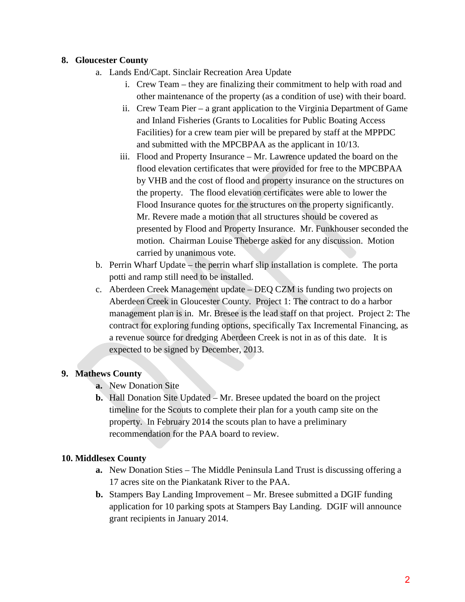### **8. Gloucester County**

- a. Lands End/Capt. Sinclair Recreation Area Update
	- i. Crew Team they are finalizing their commitment to help with road and other maintenance of the property (as a condition of use) with their board.
	- ii. Crew Team Pier a grant application to the Virginia Department of Game and Inland Fisheries (Grants to Localities for Public Boating Access Facilities) for a crew team pier will be prepared by staff at the MPPDC and submitted with the MPCBPAA as the applicant in 10/13.
	- iii. Flood and Property Insurance Mr. Lawrence updated the board on the flood elevation certificates that were provided for free to the MPCBPAA by VHB and the cost of flood and property insurance on the structures on the property. The flood elevation certificates were able to lower the Flood Insurance quotes for the structures on the property significantly. Mr. Revere made a motion that all structures should be covered as presented by Flood and Property Insurance. Mr. Funkhouser seconded the motion. Chairman Louise Theberge asked for any discussion. Motion carried by unanimous vote.
- b. Perrin Wharf Update the perrin wharf slip installation is complete. The porta potti and ramp still need to be installed.
- c. Aberdeen Creek Management update DEQ CZM is funding two projects on Aberdeen Creek in Gloucester County. Project 1: The contract to do a harbor management plan is in. Mr. Bresee is the lead staff on that project. Project 2: The contract for exploring funding options, specifically Tax Incremental Financing, as a revenue source for dredging Aberdeen Creek is not in as of this date. It is expected to be signed by December, 2013.

# **9. Mathews County**

- **a.** New Donation Site
- **b.** Hall Donation Site Updated Mr. Bresee updated the board on the project timeline for the Scouts to complete their plan for a youth camp site on the property. In February 2014 the scouts plan to have a preliminary recommendation for the PAA board to review.

# **10. Middlesex County**

- **a.** New Donation Sties The Middle Peninsula Land Trust is discussing offering a 17 acres site on the Piankatank River to the PAA.
- **b.** Stampers Bay Landing Improvement Mr. Bresee submitted a DGIF funding application for 10 parking spots at Stampers Bay Landing. DGIF will announce grant recipients in January 2014.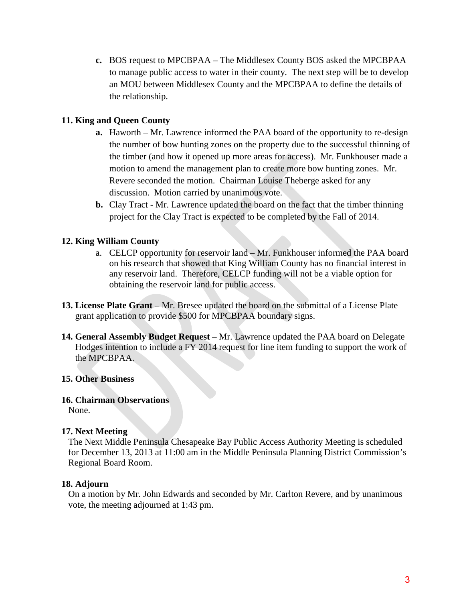**c.** BOS request to MPCBPAA – The Middlesex County BOS asked the MPCBPAA to manage public access to water in their county. The next step will be to develop an MOU between Middlesex County and the MPCBPAA to define the details of the relationship.

### **11. King and Queen County**

- **a.** Haworth Mr. Lawrence informed the PAA board of the opportunity to re-design the number of bow hunting zones on the property due to the successful thinning of the timber (and how it opened up more areas for access). Mr. Funkhouser made a motion to amend the management plan to create more bow hunting zones. Mr. Revere seconded the motion. Chairman Louise Theberge asked for any discussion. Motion carried by unanimous vote.
- **b.** Clay Tract Mr. Lawrence updated the board on the fact that the timber thinning project for the Clay Tract is expected to be completed by the Fall of 2014.

### **12. King William County**

- a. CELCP opportunity for reservoir land Mr. Funkhouser informed the PAA board on his research that showed that King William County has no financial interest in any reservoir land. Therefore, CELCP funding will not be a viable option for obtaining the reservoir land for public access.
- 13. License Plate Grant Mr. Bresee updated the board on the submittal of a License Plate grant application to provide \$500 for MPCBPAA boundary signs.
- **14. General Assembly Budget Request** Mr. Lawrence updated the PAA board on Delegate Hodges intention to include a FY 2014 request for line item funding to support the work of the MPCBPAA.

### **15. Other Business**

### **16. Chairman Observations**

None.

### **17. Next Meeting**

The Next Middle Peninsula Chesapeake Bay Public Access Authority Meeting is scheduled for December 13, 2013 at 11:00 am in the Middle Peninsula Planning District Commission's Regional Board Room.

### **18. Adjourn**

On a motion by Mr. John Edwards and seconded by Mr. Carlton Revere, and by unanimous vote, the meeting adjourned at 1:43 pm.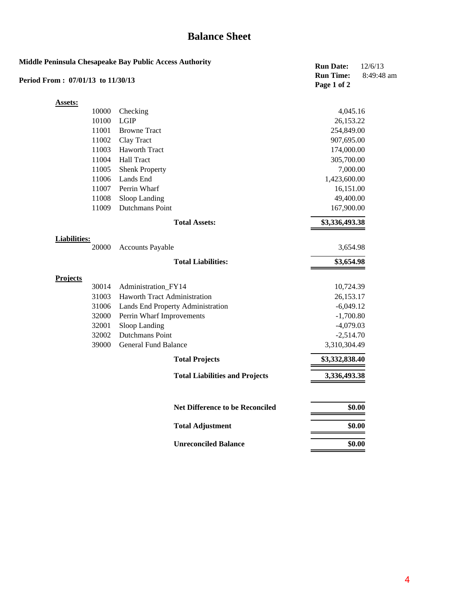# **Balance Sheet**

| Period From: 07/01/13 to 11/30/13 |       | Middle Peninsula Chesapeake Bay Public Access Authority | <b>Run Date:</b><br><b>Run Time:</b> | 12/6/13<br>8:49:48 am |
|-----------------------------------|-------|---------------------------------------------------------|--------------------------------------|-----------------------|
|                                   |       |                                                         | Page 1 of 2                          |                       |
| <b>Assets:</b>                    |       |                                                         |                                      |                       |
|                                   | 10000 | Checking                                                | 4,045.16                             |                       |
|                                   | 10100 | <b>LGIP</b>                                             | 26,153.22                            |                       |
|                                   | 11001 | <b>Browne Tract</b>                                     | 254,849.00                           |                       |
|                                   | 11002 | Clay Tract                                              | 907,695.00                           |                       |
|                                   | 11003 | Haworth Tract                                           | 174,000.00                           |                       |
|                                   | 11004 | <b>Hall Tract</b>                                       | 305,700.00                           |                       |
|                                   | 11005 | <b>Shenk Property</b>                                   | 7,000.00                             |                       |
|                                   | 11006 | Lands End                                               | 1,423,600.00                         |                       |
|                                   | 11007 | Perrin Wharf                                            | 16,151.00                            |                       |
|                                   | 11008 | Sloop Landing                                           | 49,400.00                            |                       |
|                                   | 11009 | <b>Dutchmans Point</b>                                  | 167,900.00                           |                       |
|                                   |       | <b>Total Assets:</b>                                    | \$3,336,493.38                       |                       |
| <b>Liabilities:</b>               |       |                                                         |                                      |                       |
|                                   | 20000 | <b>Accounts Payable</b>                                 | 3,654.98                             |                       |
|                                   |       | <b>Total Liabilities:</b>                               | \$3,654.98                           |                       |
| <b>Projects</b>                   |       |                                                         |                                      |                       |
|                                   | 30014 | Administration_FY14                                     | 10,724.39                            |                       |
|                                   | 31003 | Haworth Tract Administration                            | 26,153.17                            |                       |
|                                   | 31006 | Lands End Property Administration                       | $-6,049.12$                          |                       |
|                                   | 32000 | Perrin Wharf Improvements                               | $-1,700.80$                          |                       |
|                                   | 32001 | Sloop Landing                                           | $-4,079.03$                          |                       |
|                                   | 32002 | Dutchmans Point                                         | $-2,514.70$                          |                       |
|                                   | 39000 | <b>General Fund Balance</b>                             | 3,310,304.49                         |                       |
|                                   |       | <b>Total Projects</b>                                   | \$3,332,838.40                       |                       |
|                                   |       | <b>Total Liabilities and Projects</b>                   | 3,336,493.38                         |                       |
|                                   |       | <b>Net Difference to be Reconciled</b>                  | \$0.00                               |                       |
|                                   |       | <b>Total Adjustment</b>                                 | \$0.00                               |                       |
|                                   |       | <b>Unreconciled Balance</b>                             | \$0.00                               |                       |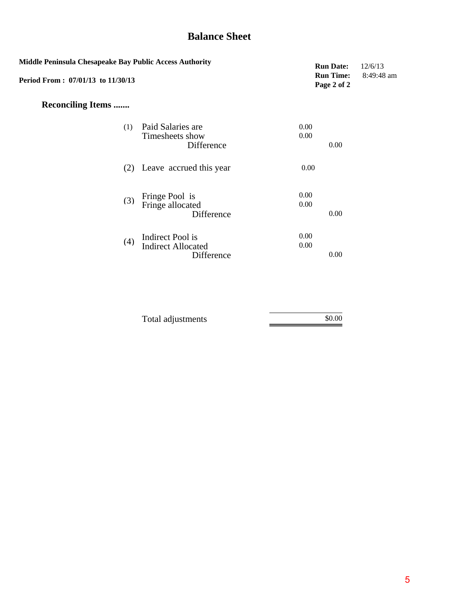# **Balance Sheet**

| Middle Peninsula Chesapeake Bay Public Access Authority<br>Period From: 07/01/13 to 11/30/13 |                                                             |              | <b>Run Date:</b><br><b>Run Time:</b><br>Page 2 of 2 | 12/6/13<br>8:49:48 am |
|----------------------------------------------------------------------------------------------|-------------------------------------------------------------|--------------|-----------------------------------------------------|-----------------------|
| <b>Reconciling Items </b>                                                                    |                                                             |              |                                                     |                       |
| (1)                                                                                          | Paid Salaries are<br>Timesheets show<br>Difference          | 0.00<br>0.00 | 0.00                                                |                       |
|                                                                                              | (2) Leave accrued this year                                 | 0.00         |                                                     |                       |
| (3)                                                                                          | Fringe Pool is<br>Fringe allocated<br>Difference            | 0.00<br>0.00 | 0.00                                                |                       |
| (4)                                                                                          | Indirect Pool is<br><b>Indirect Allocated</b><br>Difference | 0.00<br>0.00 | 0.00                                                |                       |

| Total adjustments | \$0.00 |
|-------------------|--------|
|                   |        |
|                   |        |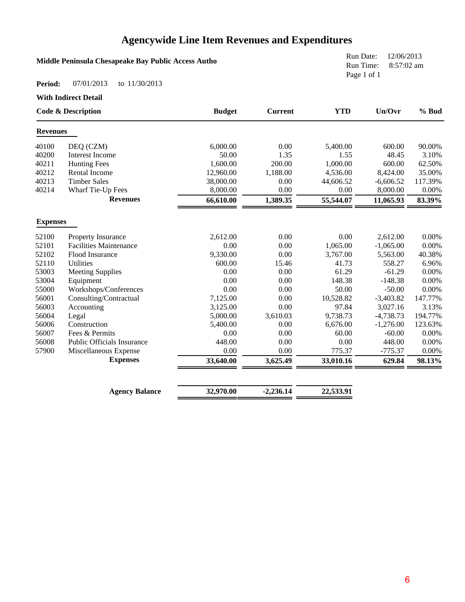# **Agencywide Line Item Revenues and Expenditures**

### **Middle Peninsula Chesapeake Bay Public Access Autho**

Run Date: 12/06/2013 Run Time: 8:57:02 am Page 1 of 1

#### **Period:** 07/01/2013 to 11/30/2013

**With Indirect Detail**

|                 | <b>Code &amp; Description</b>     | <b>Budget</b> | <b>Current</b> | <b>YTD</b> | Un/Ovr      | % Bud   |
|-----------------|-----------------------------------|---------------|----------------|------------|-------------|---------|
| <b>Revenues</b> |                                   |               |                |            |             |         |
| 40100           | DEQ (CZM)                         | 6,000.00      | 0.00           | 5,400.00   | 600.00      | 90.00%  |
| 40200           | <b>Interest Income</b>            | 50.00         | 1.35           | 1.55       | 48.45       | 3.10%   |
| 40211           | <b>Hunting Fees</b>               | 1,600.00      | 200.00         | 1,000.00   | 600.00      | 62.50%  |
| 40212           | Rental Income                     | 12,960.00     | 1,188.00       | 4,536.00   | 8,424.00    | 35.00%  |
| 40213           | <b>Timber Sales</b>               | 38,000.00     | 0.00           | 44,606.52  | $-6,606.52$ | 117.39% |
| 40214           | Wharf Tie-Up Fees                 | 8,000.00      | 0.00           | 0.00       | 8,000.00    | 0.00%   |
|                 | <b>Revenues</b>                   | 66,610.00     | 1,389.35       | 55,544.07  | 11,065.93   | 83.39%  |
| <b>Expenses</b> |                                   |               |                |            |             |         |
| 52100           | Property Insurance                | 2,612.00      | 0.00           | 0.00       | 2,612.00    | 0.00%   |
| 52101           | <b>Facilities Maintenance</b>     | 0.00          | 0.00           | 1,065.00   | $-1,065.00$ | 0.00%   |
| 52102           | Flood Insurance                   | 9,330.00      | 0.00           | 3,767.00   | 5,563.00    | 40.38%  |
| 52110           | <b>Utilities</b>                  | 600.00        | 15.46          | 41.73      | 558.27      | 6.96%   |
| 53003           | <b>Meeting Supplies</b>           | 0.00          | 0.00           | 61.29      | $-61.29$    | 0.00%   |
| 53004           | Equipment                         | 0.00          | 0.00           | 148.38     | $-148.38$   | 0.00%   |
| 55000           | Workshops/Conferences             | 0.00          | 0.00           | 50.00      | $-50.00$    | 0.00%   |
| 56001           | Consulting/Contractual            | 7,125.00      | 0.00           | 10,528.82  | $-3,403.82$ | 147.77% |
| 56003           | Accounting                        | 3,125.00      | 0.00           | 97.84      | 3,027.16    | 3.13%   |
| 56004           | Legal                             | 5,000.00      | 3,610.03       | 9,738.73   | $-4,738.73$ | 194.77% |
| 56006           | Construction                      | 5,400.00      | 0.00           | 6,676.00   | $-1,276.00$ | 123.63% |
| 56007           | Fees & Permits                    | 0.00          | 0.00           | 60.00      | $-60.00$    | 0.00%   |
| 56008           | <b>Public Officials Insurance</b> | 448.00        | 0.00           | 0.00       | 448.00      | 0.00%   |
| 57900           | Miscellaneous Expense             | 0.00          | 0.00           | 775.37     | $-775.37$   | 0.00%   |
|                 | <b>Expenses</b>                   | 33,640.00     | 3,625.49       | 33,010.16  | 629.84      | 98.13%  |
|                 |                                   |               |                |            |             |         |
|                 | <b>Agency Balance</b>             | 32,970.00     | $-2,236.14$    | 22,533.91  |             |         |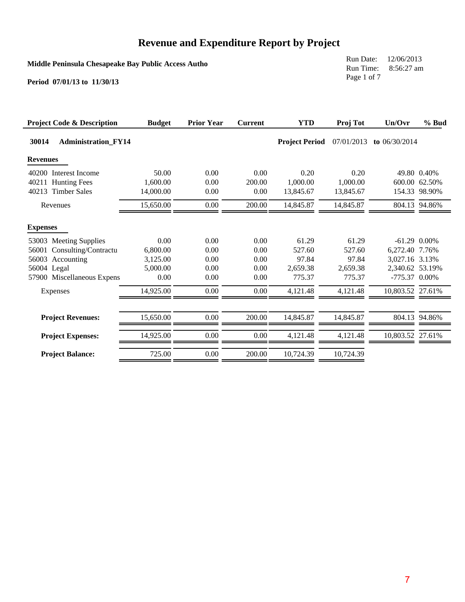**Middle Peninsula Chesapeake Bay Public Access Autho**

Run Date: 12/06/2013 Run Time: 8:56:27 am Page 1 of 7

| <b>Project Code &amp; Description</b> | <b>Budget</b> | <b>Prior Year</b> | <b>Current</b> | <b>YTD</b>            | Proj Tot   | Un/Ovr           | % Bud         |
|---------------------------------------|---------------|-------------------|----------------|-----------------------|------------|------------------|---------------|
| 30014<br><b>Administration_FY14</b>   |               |                   |                | <b>Project Period</b> | 07/01/2013 | to $06/30/2014$  |               |
| <b>Revenues</b>                       |               |                   |                |                       |            |                  |               |
| 40200 Interest Income                 | 50.00         | 0.00              | 0.00           | 0.20                  | 0.20       |                  | 49.80 0.40%   |
| 40211<br><b>Hunting Fees</b>          | 1,600.00      | 0.00              | 200.00         | 1,000.00              | 1,000.00   |                  | 600.00 62.50% |
| 40213 Timber Sales                    | 14,000.00     | 0.00              | 0.00           | 13,845.67             | 13.845.67  |                  | 154.33 98.90% |
| Revenues                              | 15,650.00     | 0.00              | 200.00         | 14,845.87             | 14,845.87  |                  | 804.13 94.86% |
| <b>Expenses</b>                       |               |                   |                |                       |            |                  |               |
| 53003 Meeting Supplies                | 0.00          | 0.00              | 0.00           | 61.29                 | 61.29      | $-61.29$ 0.00%   |               |
| Consulting/Contractu<br>56001         | 6,800.00      | 0.00              | 0.00           | 527.60                | 527.60     | 6,272.40 7.76%   |               |
| 56003 Accounting                      | 3,125.00      | 0.00              | 0.00           | 97.84                 | 97.84      | 3,027.16 3.13%   |               |
| 56004 Legal                           | 5,000.00      | 0.00              | 0.00           | 2.659.38              | 2,659.38   | 2,340.62 53.19%  |               |
| 57900 Miscellaneous Expens            | 0.00          | 0.00              | 0.00           | 775.37                | 775.37     | -775.37 0.00%    |               |
| Expenses                              | 14,925.00     | 0.00              | 0.00           | 4,121.48              | 4,121.48   | 10,803.52 27.61% |               |
| <b>Project Revenues:</b>              | 15,650.00     | 0.00              | 200.00         | 14,845.87             | 14,845.87  |                  | 804.13 94.86% |
| <b>Project Expenses:</b>              | 14.925.00     | 0.00              | 0.00           | 4.121.48              | 4,121.48   | 10.803.52 27.61% |               |
| <b>Project Balance:</b>               | 725.00        | 0.00              | 200.00         | 10,724.39             | 10,724.39  |                  |               |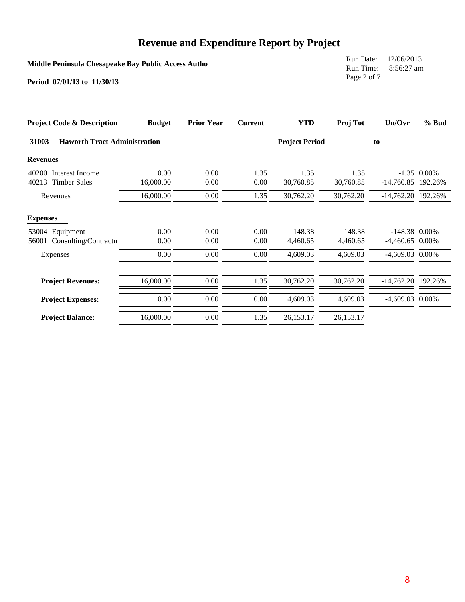**Middle Peninsula Chesapeake Bay Public Access Autho**

Run Date: 12/06/2013 Run Time: 8:56:27 am Page 2 of 7

| <b>Project Code &amp; Description</b>                                           | <b>Budget</b>        | <b>Prior Year</b>    | <b>Current</b>       | <b>YTD</b>                     | Proj Tot                       | Un/Ovr                                                    | % Bud         |
|---------------------------------------------------------------------------------|----------------------|----------------------|----------------------|--------------------------------|--------------------------------|-----------------------------------------------------------|---------------|
| 31003<br><b>Haworth Tract Administration</b>                                    |                      |                      |                      | <b>Project Period</b>          |                                | to                                                        |               |
| <b>Revenues</b>                                                                 |                      |                      |                      |                                |                                |                                                           |               |
| 40200 Interest Income<br>40213 Timber Sales                                     | 0.00<br>16,000.00    | 0.00<br>0.00         | 1.35<br>0.00         | 1.35<br>30,760.85              | 1.35<br>30,760.85              | $-14,760.85$ 192.26%                                      | $-1.35$ 0.00% |
| Revenues                                                                        | 16,000.00            | 0.00                 | 1.35                 | 30,762.20                      | 30,762.20                      | $-14,762.20$ 192.26%                                      |               |
| <b>Expenses</b><br>53004 Equipment<br>Consulting/Contractu<br>56001<br>Expenses | 0.00<br>0.00<br>0.00 | 0.00<br>0.00<br>0.00 | 0.00<br>0.00<br>0.00 | 148.38<br>4,460.65<br>4,609.03 | 148.38<br>4,460.65<br>4,609.03 | $-148.38$ 0.00%<br>$-4,460.65$ 0.00%<br>$-4,609.03$ 0.00% |               |
| <b>Project Revenues:</b><br><b>Project Expenses:</b>                            | 16,000.00<br>0.00    | 0.00<br>0.00         | 1.35<br>0.00         | 30,762.20<br>4,609.03          | 30,762.20<br>4,609.03          | $-14,762.20$ 192.26%<br>-4,609.03 0.00%                   |               |
| <b>Project Balance:</b>                                                         | 16,000.00            | 0.00                 | 1.35                 | 26,153.17                      | 26,153.17                      |                                                           |               |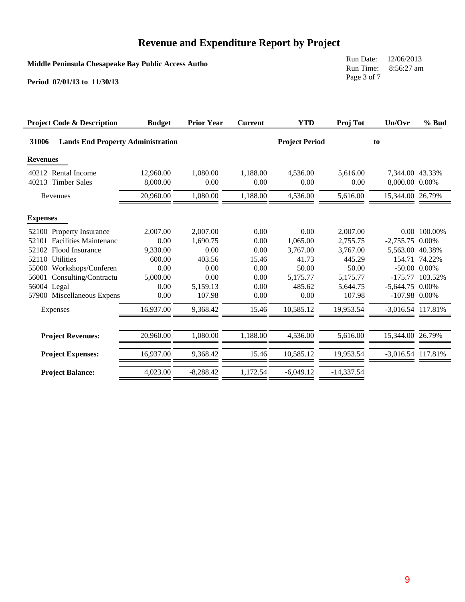**Middle Peninsula Chesapeake Bay Public Access Autho**

Run Date: 12/06/2013 Run Time: 8:56:27 am Page 3 of 7

| <b>Project Code &amp; Description</b>               | <b>Budget</b>         | <b>Prior Year</b> | <b>Current</b>   | <b>YTD</b>            | Proj Tot         | Un/Ovr                            | % Bud             |
|-----------------------------------------------------|-----------------------|-------------------|------------------|-----------------------|------------------|-----------------------------------|-------------------|
| 31006<br><b>Lands End Property Administration</b>   |                       |                   |                  | <b>Project Period</b> |                  | to                                |                   |
| <b>Revenues</b>                                     |                       |                   |                  |                       |                  |                                   |                   |
| 40212 Rental Income<br>40213<br><b>Timber Sales</b> | 12,960.00<br>8,000.00 | 1,080.00<br>0.00  | 1,188.00<br>0.00 | 4,536.00<br>0.00      | 5,616.00<br>0.00 | 7,344.00 43.33%<br>8,000.00 0.00% |                   |
| Revenues                                            | 20,960.00             | 1,080.00          | 1,188.00         | 4,536.00              | 5,616.00         | 15,344.00 26.79%                  |                   |
| <b>Expenses</b>                                     |                       |                   |                  |                       |                  |                                   |                   |
| 52100 Property Insurance                            | 2,007.00              | 2,007.00          | 0.00             | 0.00                  | 2,007.00         |                                   | 0.00 100.00%      |
| 52101 Facilities Maintenanc                         | 0.00                  | 1,690.75          | 0.00             | 1,065.00              | 2,755.75         | $-2,755.75$ 0.00%                 |                   |
| Flood Insurance<br>52102                            | 9,330.00              | 0.00              | 0.00             | 3,767.00              | 3,767.00         | 5,563.00 40.38%                   |                   |
| 52110 Utilities                                     | 600.00                | 403.56            | 15.46            | 41.73                 | 445.29           |                                   | 154.71 74.22%     |
| 55000 Workshops/Conferen                            | 0.00                  | 0.00              | 0.00             | 50.00                 | 50.00            |                                   | $-50.00$ $0.00\%$ |
| 56001 Consulting/Contractu                          | 5,000.00              | 0.00              | 0.00             | 5,175.77              | 5,175.77         | $-175.77$                         | 103.52%           |
| 56004 Legal                                         | 0.00                  | 5,159.13          | 0.00             | 485.62                | 5,644.75         | $-5,644.75$ 0.00%                 |                   |
| 57900 Miscellaneous Expens                          | 0.00                  | 107.98            | 0.00             | 0.00                  | 107.98           | $-107.98$ 0.00%                   |                   |
| Expenses                                            | 16,937.00             | 9,368.42          | 15.46            | 10,585.12             | 19,953.54        | -3,016.54 117.81%                 |                   |
| <b>Project Revenues:</b>                            | 20,960.00             | 1,080.00          | 1,188.00         | 4,536.00              | 5,616.00         | 15,344.00 26.79%                  |                   |
|                                                     |                       |                   |                  |                       |                  |                                   |                   |
| <b>Project Expenses:</b>                            | 16,937.00             | 9,368.42          | 15.46            | 10,585.12             | 19,953.54        | -3,016.54 117.81%                 |                   |
| <b>Project Balance:</b>                             | 4,023.00              | $-8,288.42$       | 1,172.54         | $-6,049.12$           | $-14,337.54$     |                                   |                   |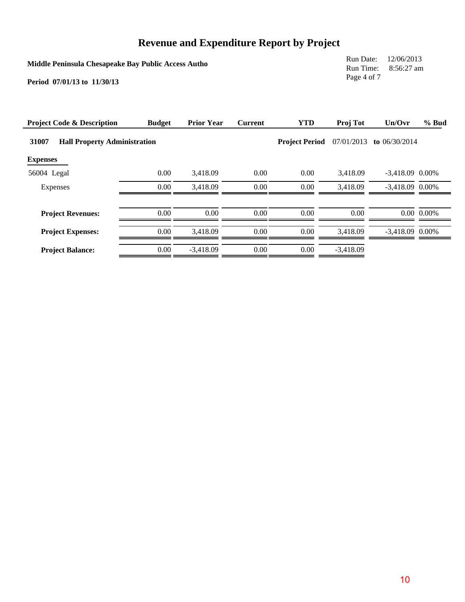**Middle Peninsula Chesapeake Bay Public Access Autho**

Run Date: 12/06/2013 Run Time: 8:56:27 am Page 4 of 7

| <b>Project Code &amp; Description</b>        | <b>Budget</b> | <b>Prior Year</b> | <b>Current</b> | <b>YTD</b>            | Proj Tot    | Un/Ovr            | % Bud            |
|----------------------------------------------|---------------|-------------------|----------------|-----------------------|-------------|-------------------|------------------|
| 31007<br><b>Hall Property Administration</b> |               |                   |                | <b>Project Period</b> | 07/01/2013  | to $06/30/2014$   |                  |
| <b>Expenses</b>                              |               |                   |                |                       |             |                   |                  |
| 56004 Legal                                  | 0.00          | 3,418.09          | 0.00           | 0.00                  | 3.418.09    | $-3,418.09$ 0.00% |                  |
| Expenses                                     | 0.00          | 3,418.09          | 0.00           | 0.00                  | 3,418.09    | $-3,418.09$ 0.00% |                  |
| <b>Project Revenues:</b>                     | 0.00          | 0.00              | 0.00           | 0.00                  | 0.00        |                   | $0.00 \, 0.00\%$ |
| <b>Project Expenses:</b>                     | 0.00          | 3.418.09          | 0.00           | 0.00                  | 3.418.09    | $-3,418.09$ 0.00% |                  |
| <b>Project Balance:</b>                      | 0.00          | $-3.418.09$       | 0.00           | 0.00                  | $-3.418.09$ |                   |                  |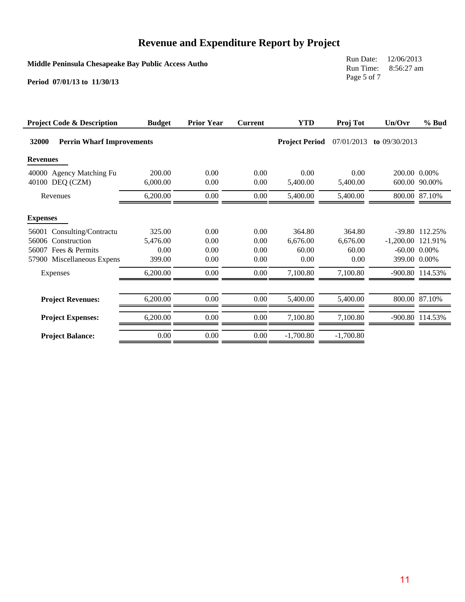**Middle Peninsula Chesapeake Bay Public Access Autho**

Run Date: 12/06/2013 Run Time: 8:56:27 am Page 5 of 7

| <b>Project Code &amp; Description</b>       | <b>Budget</b>      | <b>Prior Year</b> | <b>Current</b> | <b>YTD</b>            | Proj Tot         | Un/Ovr              | $%$ Bud           |
|---------------------------------------------|--------------------|-------------------|----------------|-----------------------|------------------|---------------------|-------------------|
| 32000<br><b>Perrin Wharf Improvements</b>   |                    |                   |                | <b>Project Period</b> | 07/01/2013       | to $09/30/2013$     |                   |
| <b>Revenues</b>                             |                    |                   |                |                       |                  |                     |                   |
| 40000 Agency Matching Fu<br>40100 DEQ (CZM) | 200.00<br>6,000.00 | 0.00<br>0.00      | 0.00<br>0.00   | 0.00<br>5,400.00      | 0.00<br>5,400.00 | 200.00 0.00%        | 600.00 90.00%     |
| Revenues                                    | 6,200.00           | 0.00              | $0.00\,$       | 5,400.00              | 5,400.00         |                     | 800.00 87.10%     |
| <b>Expenses</b>                             |                    |                   |                |                       |                  |                     |                   |
| Consulting/Contractu<br>56001               | 325.00             | 0.00              | 0.00           | 364.80                | 364.80           |                     | -39.80 112.25%    |
| Construction<br>56006                       | 5,476.00           | 0.00              | 0.00           | 6,676.00              | 6,676.00         | $-1,200.00$ 121.91% |                   |
| 56007 Fees & Permits                        | 0.00               | 0.00              | 0.00           | 60.00                 | 60.00            |                     | $-60.00$ $0.00\%$ |
| 57900 Miscellaneous Expens                  | 399.00             | 0.00              | 0.00           | 0.00                  | 0.00             | 399.00 0.00%        |                   |
| Expenses                                    | 6,200.00           | 0.00              | $0.00\,$       | 7,100.80              | 7,100.80         |                     | -900.80 114.53%   |
| <b>Project Revenues:</b>                    | 6,200.00           | 0.00              | $0.00\,$       | 5,400.00              | 5,400.00         |                     | 800.00 87.10%     |
| <b>Project Expenses:</b>                    | 6,200.00           | 0.00              | $0.00\,$       | 7,100.80              | 7,100.80         |                     | -900.80 114.53%   |
| <b>Project Balance:</b>                     | 0.00               | 0.00              | $0.00\,$       | $-1,700.80$           | $-1,700.80$      |                     |                   |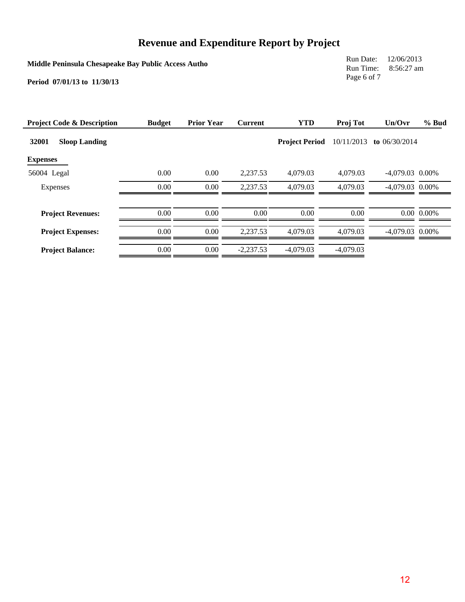**Middle Peninsula Chesapeake Bay Public Access Autho**

Run Date: 12/06/2013 Run Time: 8:56:27 am Page 6 of 7

| <b>Project Code &amp; Description</b> | <b>Budget</b> | <b>Prior Year</b> | <b>Current</b> | <b>YTD</b>            | Proj Tot    | Un/Ovr            | % Bud          |
|---------------------------------------|---------------|-------------------|----------------|-----------------------|-------------|-------------------|----------------|
| 32001<br><b>Sloop Landing</b>         |               |                   |                | <b>Project Period</b> | 10/11/2013  | to $06/30/2014$   |                |
| <b>Expenses</b>                       |               |                   |                |                       |             |                   |                |
| 56004 Legal                           | 0.00          | 0.00              | 2,237.53       | 4,079.03              | 4,079.03    | $-4,079.03$ 0.00% |                |
| Expenses                              | 0.00          | 0.00              | 2.237.53       | 4,079.03              | 4,079.03    | $-4.079.03$ 0.00% |                |
| <b>Project Revenues:</b>              | 0.00          | 0.00              | 0.00           | 0.00                  | 0.00        |                   | $0.00\ 0.00\%$ |
| <b>Project Expenses:</b>              | 0.00          | 0.00              | 2.237.53       | 4,079.03              | 4,079.03    | $-4.079.03$ 0.00% |                |
| <b>Project Balance:</b>               | 0.00          | 0.00              | $-2.237.53$    | $-4,079.03$           | $-4.079.03$ |                   |                |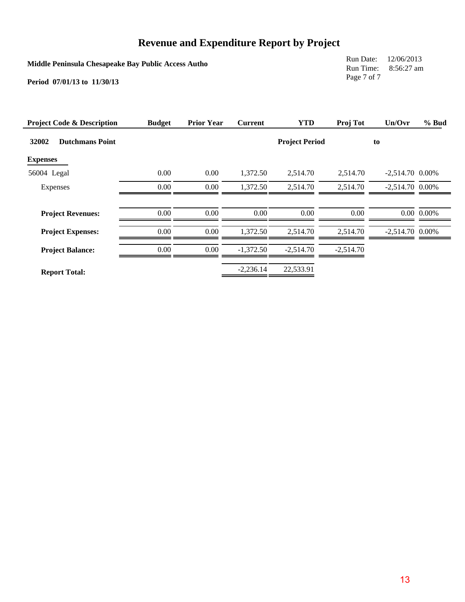**Middle Peninsula Chesapeake Bay Public Access Autho**

Run Date: 12/06/2013 Run Time: 8:56:27 am Page 7 of 7

| <b>Project Code &amp; Description</b> | <b>Budget</b> | <b>Prior Year</b> | <b>Current</b> | <b>YTD</b>            | Proj Tot    | Un/Ovr            | $%$ Bud             |
|---------------------------------------|---------------|-------------------|----------------|-----------------------|-------------|-------------------|---------------------|
| 32002<br><b>Dutchmans Point</b>       |               |                   |                | <b>Project Period</b> |             | to                |                     |
| <b>Expenses</b>                       |               |                   |                |                       |             |                   |                     |
| 56004 Legal                           | 0.00          | 0.00              | 1,372.50       | 2.514.70              | 2,514.70    | $-2,514.70$ 0.00% |                     |
| Expenses                              | 0.00          | 0.00              | 1,372.50       | 2,514.70              | 2,514.70    | $-2,514.70$ 0.00% |                     |
|                                       |               |                   |                |                       |             |                   |                     |
| <b>Project Revenues:</b>              | 0.00          | 0.00              | 0.00           | 0.00                  | 0.00        |                   | $0.00 \quad 0.00\%$ |
| <b>Project Expenses:</b>              | 0.00          | 0.00              | 1.372.50       | 2,514.70              | 2.514.70    | $-2,514.70$ 0.00% |                     |
| <b>Project Balance:</b>               | 0.00          | 0.00              | $-1,372.50$    | $-2,514.70$           | $-2,514.70$ |                   |                     |
| <b>Report Total:</b>                  |               |                   | $-2,236.14$    | 22,533.91             |             |                   |                     |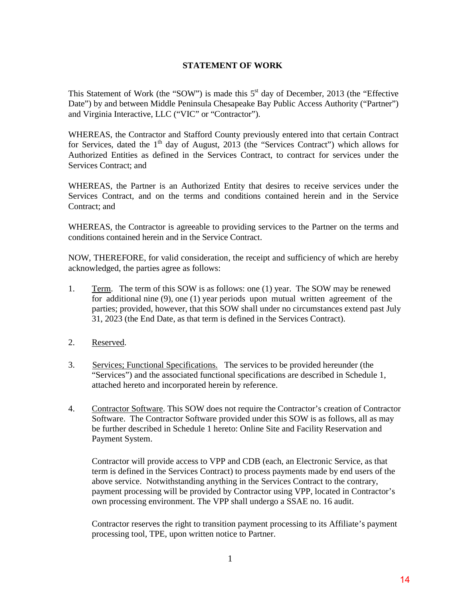#### **STATEMENT OF WORK**

This Statement of Work (the "SOW") is made this  $5<sup>st</sup>$  day of December, 2013 (the "Effective" Date") by and between Middle Peninsula Chesapeake Bay Public Access Authority ("Partner") and Virginia Interactive, LLC ("VIC" or "Contractor").

WHEREAS, the Contractor and Stafford County previously entered into that certain Contract for Services, dated the  $1<sup>th</sup>$  day of August, 2013 (the "Services Contract") which allows for Authorized Entities as defined in the Services Contract, to contract for services under the Services Contract; and

WHEREAS, the Partner is an Authorized Entity that desires to receive services under the Services Contract, and on the terms and conditions contained herein and in the Service Contract; and

WHEREAS, the Contractor is agreeable to providing services to the Partner on the terms and conditions contained herein and in the Service Contract.

NOW, THEREFORE, for valid consideration, the receipt and sufficiency of which are hereby acknowledged, the parties agree as follows:

- 1. Term. The term of this SOW is as follows: one (1) year. The SOW may be renewed for additional nine (9), one (1) year periods upon mutual written agreement of the parties; provided, however, that this SOW shall under no circumstances extend past July 31, 2023 (the End Date, as that term is defined in the Services Contract).
- 2. Reserved.
- 3. Services; Functional Specifications. The services to be provided hereunder (the "Services") and the associated functional specifications are described in Schedule 1, attached hereto and incorporated herein by reference.
- 4. Contractor Software. This SOW does not require the Contractor's creation of Contractor Software. The Contractor Software provided under this SOW is as follows, all as may be further described in Schedule 1 hereto: Online Site and Facility Reservation and Payment System.

 Contractor will provide access to VPP and CDB (each, an Electronic Service, as that term is defined in the Services Contract) to process payments made by end users of the above service. Notwithstanding anything in the Services Contract to the contrary, payment processing will be provided by Contractor using VPP, located in Contractor's own processing environment. The VPP shall undergo a SSAE no. 16 audit.

 Contractor reserves the right to transition payment processing to its Affiliate's payment processing tool, TPE, upon written notice to Partner.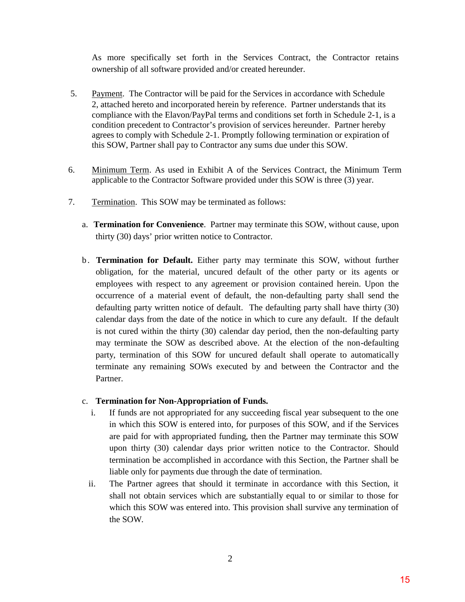As more specifically set forth in the Services Contract, the Contractor retains ownership of all software provided and/or created hereunder.

- 5. Payment. The Contractor will be paid for the Services in accordance with Schedule 2, attached hereto and incorporated herein by reference. Partner understands that its compliance with the Elavon/PayPal terms and conditions set forth in Schedule 2-1, is a condition precedent to Contractor's provision of services hereunder. Partner hereby agrees to comply with Schedule 2-1. Promptly following termination or expiration of this SOW, Partner shall pay to Contractor any sums due under this SOW.
- 6. Minimum Term. As used in Exhibit A of the Services Contract, the Minimum Term applicable to the Contractor Software provided under this SOW is three (3) year.
- 7. Termination. This SOW may be terminated as follows:
	- a. **Termination for Convenience**. Partner may terminate this SOW, without cause, upon thirty (30) days' prior written notice to Contractor.
	- b. **Termination for Default.** Either party may terminate this SOW, without further obligation, for the material, uncured default of the other party or its agents or employees with respect to any agreement or provision contained herein. Upon the occurrence of a material event of default, the non-defaulting party shall send the defaulting party written notice of default. The defaulting party shall have thirty (30) calendar days from the date of the notice in which to cure any default. If the default is not cured within the thirty (30) calendar day period, then the non-defaulting party may terminate the SOW as described above. At the election of the non-defaulting party, termination of this SOW for uncured default shall operate to automatically terminate any remaining SOWs executed by and between the Contractor and the Partner.

#### c. **Termination for Non-Appropriation of Funds.**

- i. If funds are not appropriated for any succeeding fiscal year subsequent to the one in which this SOW is entered into, for purposes of this SOW, and if the Services are paid for with appropriated funding, then the Partner may terminate this SOW upon thirty (30) calendar days prior written notice to the Contractor. Should termination be accomplished in accordance with this Section, the Partner shall be liable only for payments due through the date of termination.
- ii. The Partner agrees that should it terminate in accordance with this Section, it shall not obtain services which are substantially equal to or similar to those for which this SOW was entered into. This provision shall survive any termination of the SOW.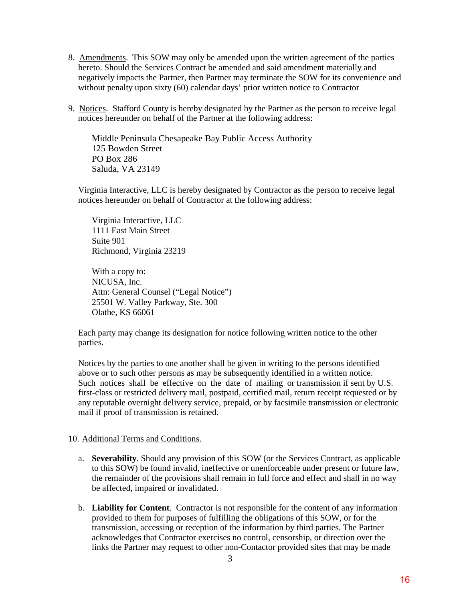- 8. Amendments. This SOW may only be amended upon the written agreement of the parties hereto. Should the Services Contract be amended and said amendment materially and negatively impacts the Partner, then Partner may terminate the SOW for its convenience and without penalty upon sixty (60) calendar days' prior written notice to Contractor
- 9. Notices. Stafford County is hereby designated by the Partner as the person to receive legal notices hereunder on behalf of the Partner at the following address:

Middle Peninsula Chesapeake Bay Public Access Authority 125 Bowden Street PO Box 286 Saluda, VA 23149

Virginia Interactive, LLC is hereby designated by Contractor as the person to receive legal notices hereunder on behalf of Contractor at the following address:

Virginia Interactive, LLC 1111 East Main Street Suite 901 Richmond, Virginia 23219

With a copy to: NICUSA, Inc. Attn: General Counsel ("Legal Notice") 25501 W. Valley Parkway, Ste. 300 Olathe, KS 66061

Each party may change its designation for notice following written notice to the other parties.

Notices by the parties to one another shall be given in writing to the persons identified above or to such other persons as may be subsequently identified in a written notice. Such notices shall be effective on the date of mailing or transmission if sent by U.S. first-class or restricted delivery mail, postpaid, certified mail, return receipt requested or by any reputable overnight delivery service, prepaid, or by facsimile transmission or electronic mail if proof of transmission is retained.

### 10. Additional Terms and Conditions.

- a. **Severability**. Should any provision of this SOW (or the Services Contract, as applicable to this SOW) be found invalid, ineffective or unenforceable under present or future law, the remainder of the provisions shall remain in full force and effect and shall in no way be affected, impaired or invalidated.
- b. **Liability for Content**. Contractor is not responsible for the content of any information provided to them for purposes of fulfilling the obligations of this SOW, or for the transmission, accessing or reception of the information by third parties. The Partner acknowledges that Contractor exercises no control, censorship, or direction over the links the Partner may request to other non-Contactor provided sites that may be made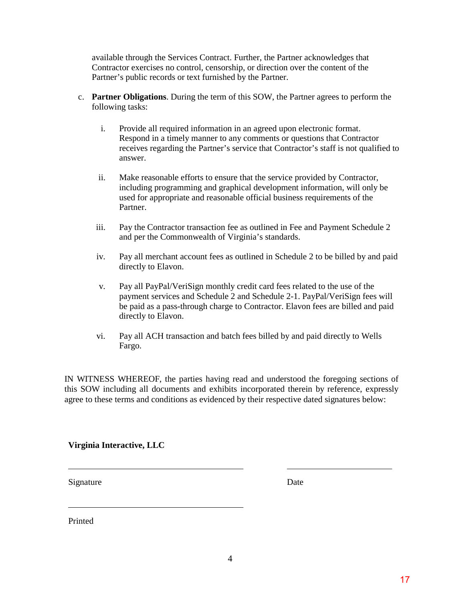available through the Services Contract. Further, the Partner acknowledges that Contractor exercises no control, censorship, or direction over the content of the Partner's public records or text furnished by the Partner.

- c. **Partner Obligations**. During the term of this SOW, the Partner agrees to perform the following tasks:
	- i. Provide all required information in an agreed upon electronic format. Respond in a timely manner to any comments or questions that Contractor receives regarding the Partner's service that Contractor's staff is not qualified to answer.
	- ii. Make reasonable efforts to ensure that the service provided by Contractor, including programming and graphical development information, will only be used for appropriate and reasonable official business requirements of the Partner.
	- iii. Pay the Contractor transaction fee as outlined in Fee and Payment Schedule 2 and per the Commonwealth of Virginia's standards.
	- iv. Pay all merchant account fees as outlined in Schedule 2 to be billed by and paid directly to Elavon.
	- v. Pay all PayPal/VeriSign monthly credit card fees related to the use of the payment services and Schedule 2 and Schedule 2-1. PayPal/VeriSign fees will be paid as a pass-through charge to Contractor. Elavon fees are billed and paid directly to Elavon.
	- vi. Pay all ACH transaction and batch fees billed by and paid directly to Wells Fargo.

IN WITNESS WHEREOF, the parties having read and understood the foregoing sections of this SOW including all documents and exhibits incorporated therein by reference, expressly agree to these terms and conditions as evidenced by their respective dated signatures below:

### **Virginia Interactive, LLC**

Signature Date

Printed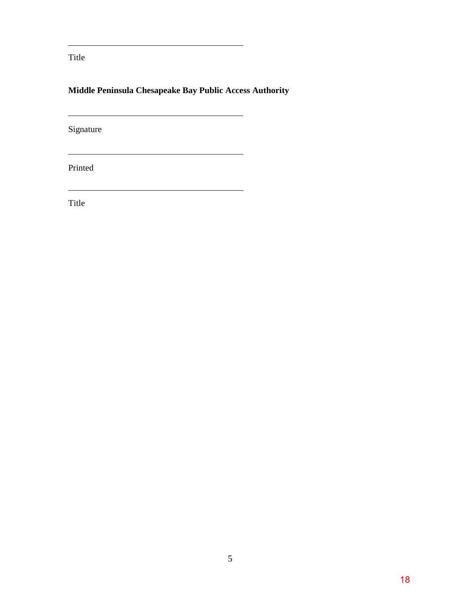Title

# **Middle Peninsula Chesapeake Bay Public Access Authority**

<u> 1989 - Johann Stoff, fransk politik (d. 1989)</u>

Signature

Printed

Title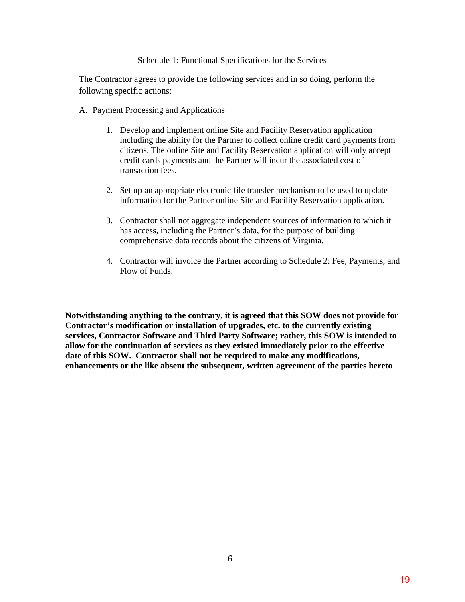#### Schedule 1: Functional Specifications for the Services

The Contractor agrees to provide the following services and in so doing, perform the following specific actions:

- A. Payment Processing and Applications
	- 1. Develop and implement online Site and Facility Reservation application including the ability for the Partner to collect online credit card payments from citizens. The online Site and Facility Reservation application will only accept credit cards payments and the Partner will incur the associated cost of transaction fees.
	- 2. Set up an appropriate electronic file transfer mechanism to be used to update information for the Partner online Site and Facility Reservation application.
	- 3. Contractor shall not aggregate independent sources of information to which it has access, including the Partner's data, for the purpose of building comprehensive data records about the citizens of Virginia.
	- 4. Contractor will invoice the Partner according to Schedule 2: Fee, Payments, and Flow of Funds.

**Notwithstanding anything to the contrary, it is agreed that this SOW does not provide for Contractor's modification or installation of upgrades, etc. to the currently existing services, Contractor Software and Third Party Software; rather, this SOW is intended to allow for the continuation of services as they existed immediately prior to the effective date of this SOW. Contractor shall not be required to make any modifications, enhancements or the like absent the subsequent, written agreement of the parties hereto**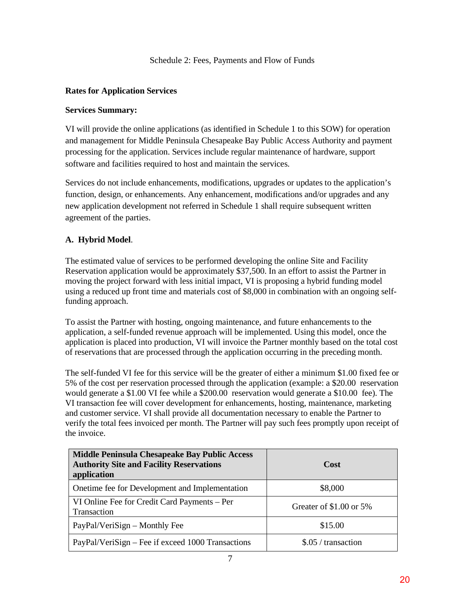Schedule 2: Fees, Payments and Flow of Funds

### **Rates for Application Services**

### **Services Summary:**

VI will provide the online applications (as identified in Schedule 1 to this SOW) for operation and management for Middle Peninsula Chesapeake Bay Public Access Authority and payment processing for the application. Services include regular maintenance of hardware, support software and facilities required to host and maintain the services.

Services do not include enhancements, modifications, upgrades or updates to the application's function, design, or enhancements. Any enhancement, modifications and/or upgrades and any new application development not referred in Schedule 1 shall require subsequent written agreement of the parties.

### **A. Hybrid Model**.

The estimated value of services to be performed developing the online Site and Facility Reservation application would be approximately \$37,500. In an effort to assist the Partner in moving the project forward with less initial impact, VI is proposing a hybrid funding model using a reduced up front time and materials cost of \$8,000 in combination with an ongoing selffunding approach.

To assist the Partner with hosting, ongoing maintenance, and future enhancements to the application, a self-funded revenue approach will be implemented. Using this model, once the application is placed into production, VI will invoice the Partner monthly based on the total cost of reservations that are processed through the application occurring in the preceding month.

The self-funded VI fee for this service will be the greater of either a minimum \$1.00 fixed fee or 5% of the cost per reservation processed through the application (example: a \$20.00 reservation would generate a \$1.00 VI fee while a \$200.00 reservation would generate a \$10.00 fee). The VI transaction fee will cover development for enhancements, hosting, maintenance, marketing and customer service. VI shall provide all documentation necessary to enable the Partner to verify the total fees invoiced per month. The Partner will pay such fees promptly upon receipt of the invoice.

| Middle Peninsula Chesapeake Bay Public Access<br><b>Authority Site and Facility Reservations</b><br>application | Cost                    |  |
|-----------------------------------------------------------------------------------------------------------------|-------------------------|--|
| Onetime fee for Development and Implementation                                                                  | \$8,000                 |  |
| VI Online Fee for Credit Card Payments – Per<br>Transaction                                                     | Greater of \$1.00 or 5% |  |
| PayPal/VeriSign – Monthly Fee                                                                                   | \$15.00                 |  |
| PayPal/VeriSign – Fee if exceed 1000 Transactions                                                               | \$.05 / transaction     |  |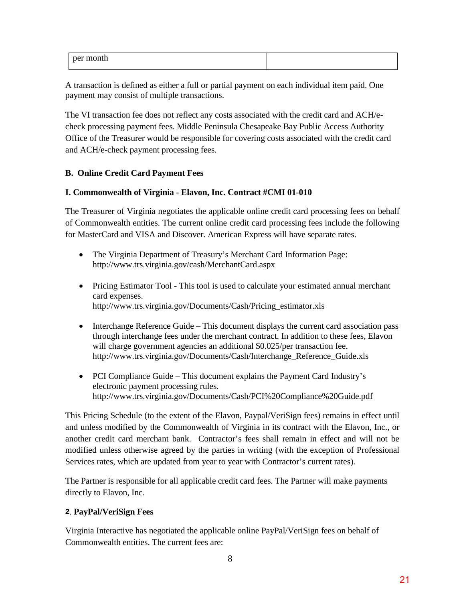| ner montu |  |
|-----------|--|
|           |  |
|           |  |

A transaction is defined as either a full or partial payment on each individual item paid. One payment may consist of multiple transactions.

The VI transaction fee does not reflect any costs associated with the credit card and ACH/echeck processing payment fees. Middle Peninsula Chesapeake Bay Public Access Authority Office of the Treasurer would be responsible for covering costs associated with the credit card and ACH/e-check payment processing fees.

### **B. Online Credit Card Payment Fees**

### **I. Commonwealth of Virginia - Elavon, Inc. Contract #CMI 01-010**

The Treasurer of Virginia negotiates the applicable online credit card processing fees on behalf of Commonwealth entities. The current online credit card processing fees include the following for MasterCard and VISA and Discover. American Express will have separate rates.

- The Virginia Department of Treasury's Merchant Card Information Page: <http://www.trs.virginia.gov/cash/MerchantCard.aspx>
- Pricing Estimator Tool This tool is used to calculate your estimated annual merchant card expenses. [http://www.trs.virginia.gov/Documents/Cash/Pricing\\_estimator.xls](http://www.trs.virginia.gov/Documents/Cash/Pricing_estimator.xls)
- Interchange Reference Guide This document displays the current card association pass through interchange fees under the merchant contract. In addition to these fees, Elavon will charge government agencies an additional \$0.025/per transaction fee. http://www.trs.virginia.gov/Documents/Cash/Interchange\_Reference\_Guide.xls
- [PCI Compliance Guide](http://www.trs.virginia.gov/Documents/Cash/PCI%20Compliance%20Guide.pdf)  This document explains the Payment Card Industry's electronic payment processing rules. <http://www.trs.virginia.gov/Documents/Cash/PCI%20Compliance%20Guide.pdf>

This Pricing Schedule (to the extent of the Elavon, Paypal/VeriSign fees) remains in effect until and unless modified by the Commonwealth of Virginia in its contract with the Elavon, Inc., or another credit card merchant bank. Contractor's fees shall remain in effect and will not be modified unless otherwise agreed by the parties in writing (with the exception of Professional Services rates, which are updated from year to year with Contractor's current rates).

The Partner is responsible for all applicable credit card fees. The Partner will make payments directly to Elavon, Inc.

# **2**. **PayPal/VeriSign Fees**

Virginia Interactive has negotiated the applicable online PayPal/VeriSign fees on behalf of Commonwealth entities. The current fees are: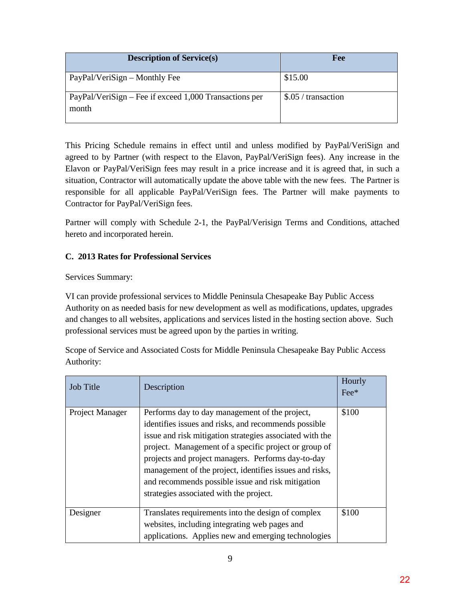| <b>Description of Service(s)</b>                                   | Fee                 |
|--------------------------------------------------------------------|---------------------|
| PayPal/VeriSign – Monthly Fee                                      | \$15.00             |
| $PayPal/VeriSign - Free if exceed 1,000 Transactions per$<br>month | \$.05 / transaction |

This Pricing Schedule remains in effect until and unless modified by PayPal/VeriSign and agreed to by Partner (with respect to the Elavon, PayPal/VeriSign fees). Any increase in the Elavon or PayPal/VeriSign fees may result in a price increase and it is agreed that, in such a situation, Contractor will automatically update the above table with the new fees. The Partner is responsible for all applicable PayPal/VeriSign fees. The Partner will make payments to Contractor for PayPal/VeriSign fees.

Partner will comply with Schedule 2-1, the PayPal/Verisign Terms and Conditions, attached hereto and incorporated herein.

### **C. 2013 Rates for Professional Services**

Services Summary:

VI can provide professional services to Middle Peninsula Chesapeake Bay Public Access Authority on as needed basis for new development as well as modifications, updates, upgrades and changes to all websites, applications and services listed in the hosting section above. Such professional services must be agreed upon by the parties in writing.

Scope of Service and Associated Costs for Middle Peninsula Chesapeake Bay Public Access Authority:

| <b>Job Title</b> | Description                                                                                                                                                                                                                                                                                                                                                                                                                                  | Hourly<br>$\text{Fe}^*$ |
|------------------|----------------------------------------------------------------------------------------------------------------------------------------------------------------------------------------------------------------------------------------------------------------------------------------------------------------------------------------------------------------------------------------------------------------------------------------------|-------------------------|
| Project Manager  | Performs day to day management of the project,<br>identifies issues and risks, and recommends possible<br>issue and risk mitigation strategies associated with the<br>project. Management of a specific project or group of<br>projects and project managers. Performs day-to-day<br>management of the project, identifies issues and risks,<br>and recommends possible issue and risk mitigation<br>strategies associated with the project. | \$100                   |
| Designer         | Translates requirements into the design of complex<br>websites, including integrating web pages and<br>applications. Applies new and emerging technologies                                                                                                                                                                                                                                                                                   | \$100                   |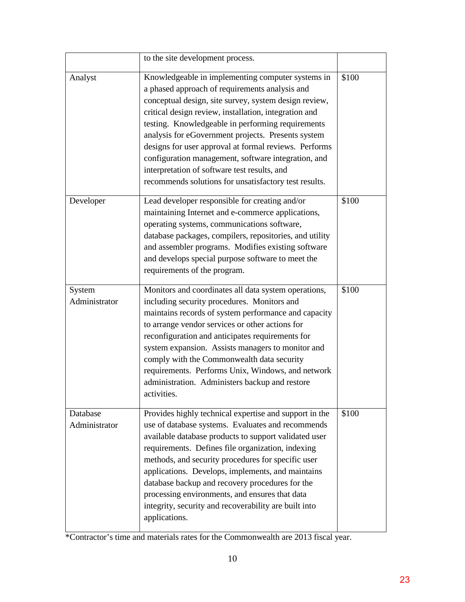|                           | to the site development process.                                                                                                                                                                                                                                                                                                                                                                                                                                                                                                                          |       |
|---------------------------|-----------------------------------------------------------------------------------------------------------------------------------------------------------------------------------------------------------------------------------------------------------------------------------------------------------------------------------------------------------------------------------------------------------------------------------------------------------------------------------------------------------------------------------------------------------|-------|
| Analyst                   | Knowledgeable in implementing computer systems in<br>a phased approach of requirements analysis and<br>conceptual design, site survey, system design review,<br>critical design review, installation, integration and<br>testing. Knowledgeable in performing requirements<br>analysis for eGovernment projects. Presents system<br>designs for user approval at formal reviews. Performs<br>configuration management, software integration, and<br>interpretation of software test results, and<br>recommends solutions for unsatisfactory test results. | \$100 |
| Developer                 | Lead developer responsible for creating and/or<br>maintaining Internet and e-commerce applications,<br>operating systems, communications software,<br>database packages, compilers, repositories, and utility<br>and assembler programs. Modifies existing software<br>and develops special purpose software to meet the<br>requirements of the program.                                                                                                                                                                                                  | \$100 |
| System<br>Administrator   | Monitors and coordinates all data system operations,<br>including security procedures. Monitors and<br>maintains records of system performance and capacity<br>to arrange vendor services or other actions for<br>reconfiguration and anticipates requirements for<br>system expansion. Assists managers to monitor and<br>comply with the Commonwealth data security<br>requirements. Performs Unix, Windows, and network<br>administration. Administers backup and restore<br>activities.                                                               | \$100 |
| Database<br>Administrator | Provides highly technical expertise and support in the<br>use of database systems. Evaluates and recommends<br>available database products to support validated user<br>requirements. Defines file organization, indexing<br>methods, and security procedures for specific user<br>applications. Develops, implements, and maintains<br>database backup and recovery procedures for the<br>processing environments, and ensures that data<br>integrity, security and recoverability are built into<br>applications.                                       | \$100 |

\*Contractor's time and materials rates for the Commonwealth are 2013 fiscal year.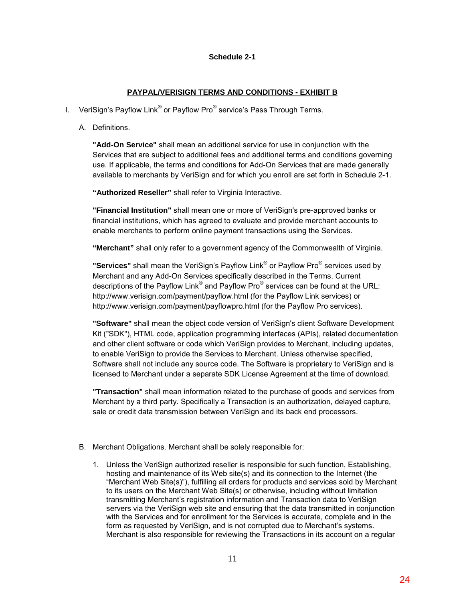#### **Schedule 2-1**

#### **PAYPAL/VERISIGN TERMS AND CONDITIONS - EXHIBIT B**

- I. VeriSign's Payflow Link<sup>®</sup> or Payflow Pro $^{\circ}$  service's Pass Through Terms.
	- A. Definitions.

**"Add-On Service"** shall mean an additional service for use in conjunction with the Services that are subject to additional fees and additional terms and conditions governing use. If applicable, the terms and conditions for Add-On Services that are made generally available to merchants by VeriSign and for which you enroll are set forth in Schedule 2-1.

**"Authorized Reseller"** shall refer to Virginia Interactive.

**"Financial Institution"** shall mean one or more of VeriSign's pre-approved banks or financial institutions, which has agreed to evaluate and provide merchant accounts to enable merchants to perform online payment transactions using the Services.

**"Merchant"** shall only refer to a government agency of the Commonwealth of Virginia.

**"Services"** shall mean the VeriSign's Payflow Link® or Payflow Pro® services used by Merchant and any Add-On Services specifically described in the Terms. Current descriptions of the Payflow Link<sup>®</sup> and Payflow Pro<sup>®</sup> services can be found at the URL: http://www.verisign.com/payment/payflow.html (for the Payflow Link services) or http://www.verisign.com/payment/payflowpro.html (for the Payflow Pro services).

**"Software"** shall mean the object code version of VeriSign's client Software Development Kit ("SDK"), HTML code, application programming interfaces (APIs), related documentation and other client software or code which VeriSign provides to Merchant, including updates, to enable VeriSign to provide the Services to Merchant. Unless otherwise specified, Software shall not include any source code. The Software is proprietary to VeriSign and is licensed to Merchant under a separate SDK License Agreement at the time of download.

**"Transaction"** shall mean information related to the purchase of goods and services from Merchant by a third party. Specifically a Transaction is an authorization, delayed capture, sale or credit data transmission between VeriSign and its back end processors.

- B. Merchant Obligations. Merchant shall be solely responsible for:
	- 1. Unless the VeriSign authorized reseller is responsible for such function, Establishing, hosting and maintenance of its Web site(s) and its connection to the Internet (the "Merchant Web Site(s)"), fulfilling all orders for products and services sold by Merchant to its users on the Merchant Web Site(s) or otherwise, including without limitation transmitting Merchant's registration information and Transaction data to VeriSign servers via the VeriSign web site and ensuring that the data transmitted in conjunction with the Services and for enrollment for the Services is accurate, complete and in the form as requested by VeriSign, and is not corrupted due to Merchant's systems. Merchant is also responsible for reviewing the Transactions in its account on a regular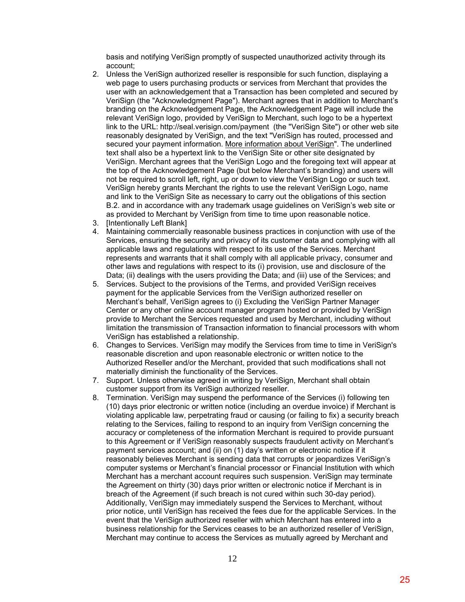basis and notifying VeriSign promptly of suspected unauthorized activity through its account;

- 2. Unless the VeriSign authorized reseller is responsible for such function, displaying a web page to users purchasing products or services from Merchant that provides the user with an acknowledgement that a Transaction has been completed and secured by VeriSign (the "Acknowledgment Page"). Merchant agrees that in addition to Merchant's branding on the Acknowledgement Page, the Acknowledgement Page will include the relevant VeriSign logo, provided by VeriSign to Merchant, such logo to be a hypertext link to the URL:<http://seal.verisign.com/payment>(the "VeriSign Site") or other web site reasonably designated by VeriSign, and the text "VeriSign has routed, processed and secured your payment information. More information about VeriSign". The underlined text shall also be a hypertext link to the VeriSign Site or other site designated by VeriSign. Merchant agrees that the VeriSign Logo and the foregoing text will appear at the top of the Acknowledgement Page (but below Merchant's branding) and users will not be required to scroll left, right, up or down to view the VeriSign Logo or such text. VeriSign hereby grants Merchant the rights to use the relevant VeriSign Logo, name and link to the VeriSign Site as necessary to carry out the obligations of this section B.2. and in accordance with any trademark usage guidelines on VeriSign's web site or as provided to Merchant by VeriSign from time to time upon reasonable notice.
- 3. [Intentionally Left Blank]
- 4. Maintaining commercially reasonable business practices in conjunction with use of the Services, ensuring the security and privacy of its customer data and complying with all applicable laws and regulations with respect to its use of the Services. Merchant represents and warrants that it shall comply with all applicable privacy, consumer and other laws and regulations with respect to its (i) provision, use and disclosure of the Data; (ii) dealings with the users providing the Data; and (iii) use of the Services; and
- 5. Services. Subject to the provisions of the Terms, and provided VeriSign receives payment for the applicable Services from the VeriSign authorized reseller on Merchant's behalf, VeriSign agrees to (i) Excluding the VeriSign Partner Manager Center or any other online account manager program hosted or provided by VeriSign provide to Merchant the Services requested and used by Merchant, including without limitation the transmission of Transaction information to financial processors with whom VeriSign has established a relationship.
- 6. Changes to Services. VeriSign may modify the Services from time to time in VeriSign's reasonable discretion and upon reasonable electronic or written notice to the Authorized Reseller and/or the Merchant, provided that such modifications shall not materially diminish the functionality of the Services.
- 7. Support. Unless otherwise agreed in writing by VeriSign, Merchant shall obtain customer support from its VeriSign authorized reseller.
- 8. Termination. VeriSign may suspend the performance of the Services (i) following ten (10) days prior electronic or written notice (including an overdue invoice) if Merchant is violating applicable law, perpetrating fraud or causing (or failing to fix) a security breach relating to the Services, failing to respond to an inquiry from VeriSign concerning the accuracy or completeness of the information Merchant is required to provide pursuant to this Agreement or if VeriSign reasonably suspects fraudulent activity on Merchant's payment services account; and (ii) on (1) day's written or electronic notice if it reasonably believes Merchant is sending data that corrupts or jeopardizes VeriSign's computer systems or Merchant's financial processor or Financial Institution with which Merchant has a merchant account requires such suspension. VeriSign may terminate the Agreement on thirty (30) days prior written or electronic notice if Merchant is in breach of the Agreement (if such breach is not cured within such 30-day period). Additionally, VeriSign may immediately suspend the Services to Merchant, without prior notice, until VeriSign has received the fees due for the applicable Services. In the event that the VeriSign authorized reseller with which Merchant has entered into a business relationship for the Services ceases to be an authorized reseller of VeriSign, Merchant may continue to access the Services as mutually agreed by Merchant and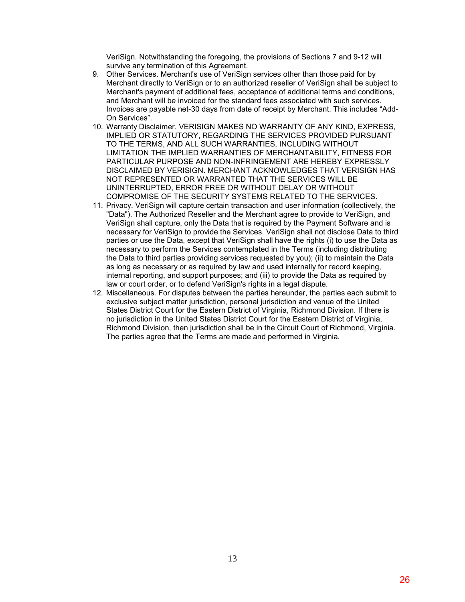VeriSign. Notwithstanding the foregoing, the provisions of Sections 7 and 9-12 will survive any termination of this Agreement.

- 9. Other Services. Merchant's use of VeriSign services other than those paid for by Merchant directly to VeriSign or to an authorized reseller of VeriSign shall be subject to Merchant's payment of additional fees, acceptance of additional terms and conditions, and Merchant will be invoiced for the standard fees associated with such services. Invoices are payable net-30 days from date of receipt by Merchant. This includes "Add-On Services".
- 10. Warranty Disclaimer. VERISIGN MAKES NO WARRANTY OF ANY KIND, EXPRESS, IMPLIED OR STATUTORY, REGARDING THE SERVICES PROVIDED PURSUANT TO THE TERMS, AND ALL SUCH WARRANTIES, INCLUDING WITHOUT LIMITATION THE IMPLIED WARRANTIES OF MERCHANTABILITY, FITNESS FOR PARTICULAR PURPOSE AND NON-INFRINGEMENT ARE HEREBY EXPRESSLY DISCLAIMED BY VERISIGN. MERCHANT ACKNOWLEDGES THAT VERISIGN HAS NOT REPRESENTED OR WARRANTED THAT THE SERVICES WILL BE UNINTERRUPTED, ERROR FREE OR WITHOUT DELAY OR WITHOUT COMPROMISE OF THE SECURITY SYSTEMS RELATED TO THE SERVICES.
- 11. Privacy. VeriSign will capture certain transaction and user information (collectively, the "Data"). The Authorized Reseller and the Merchant agree to provide to VeriSign, and VeriSign shall capture, only the Data that is required by the Payment Software and is necessary for VeriSign to provide the Services. VeriSign shall not disclose Data to third parties or use the Data, except that VeriSign shall have the rights (i) to use the Data as necessary to perform the Services contemplated in the Terms (including distributing the Data to third parties providing services requested by you); (ii) to maintain the Data as long as necessary or as required by law and used internally for record keeping, internal reporting, and support purposes; and (iii) to provide the Data as required by law or court order, or to defend VeriSign's rights in a legal dispute.
- 12. Miscellaneous. For disputes between the parties hereunder, the parties each submit to exclusive subject matter jurisdiction, personal jurisdiction and venue of the United States District Court for the Eastern District of Virginia, Richmond Division. If there is no jurisdiction in the United States District Court for the Eastern District of Virginia, Richmond Division, then jurisdiction shall be in the Circuit Court of Richmond, Virginia. The parties agree that the Terms are made and performed in Virginia.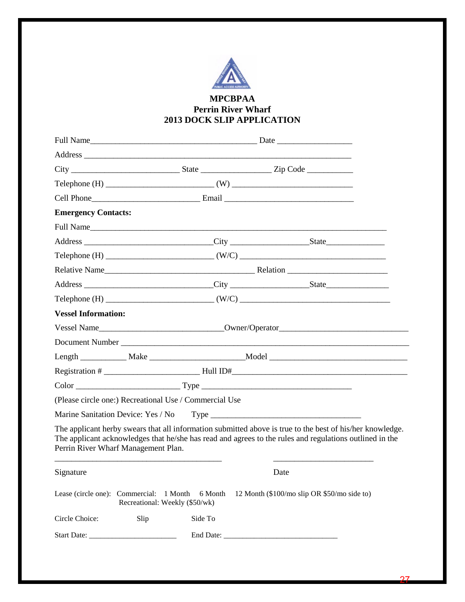

### **MPCBPAA Perrin River Wharf 2013 DOCK SLIP APPLICATION**

| <b>Emergency Contacts:</b>                             |                                |         |           |                                                                                                                                                                                                                      |
|--------------------------------------------------------|--------------------------------|---------|-----------|----------------------------------------------------------------------------------------------------------------------------------------------------------------------------------------------------------------------|
|                                                        |                                |         | Full Name |                                                                                                                                                                                                                      |
|                                                        |                                |         |           |                                                                                                                                                                                                                      |
|                                                        |                                |         |           |                                                                                                                                                                                                                      |
|                                                        |                                |         |           |                                                                                                                                                                                                                      |
|                                                        |                                |         |           |                                                                                                                                                                                                                      |
|                                                        |                                |         |           | Telephone (H) $\qquad \qquad (W/C)$ $\qquad \qquad (W/C)$                                                                                                                                                            |
| <b>Vessel Information:</b>                             |                                |         |           |                                                                                                                                                                                                                      |
|                                                        |                                |         |           |                                                                                                                                                                                                                      |
|                                                        |                                |         |           |                                                                                                                                                                                                                      |
|                                                        |                                |         |           |                                                                                                                                                                                                                      |
|                                                        |                                |         |           |                                                                                                                                                                                                                      |
|                                                        |                                |         |           |                                                                                                                                                                                                                      |
| (Please circle one:) Recreational Use / Commercial Use |                                |         |           |                                                                                                                                                                                                                      |
|                                                        |                                |         |           |                                                                                                                                                                                                                      |
| Perrin River Wharf Management Plan.                    |                                |         |           | The applicant herby swears that all information submitted above is true to the best of his/her knowledge.<br>The applicant acknowledges that he/she has read and agrees to the rules and regulations outlined in the |
| Signature                                              |                                |         | Date      |                                                                                                                                                                                                                      |
| Lease (circle one): Commercial: 1 Month                | Recreational: Weekly (\$50/wk) | 6 Month |           | 12 Month (\$100/mo slip OR \$50/mo side to)                                                                                                                                                                          |
| Circle Choice:                                         | Slip                           | Side To |           |                                                                                                                                                                                                                      |
|                                                        |                                |         |           |                                                                                                                                                                                                                      |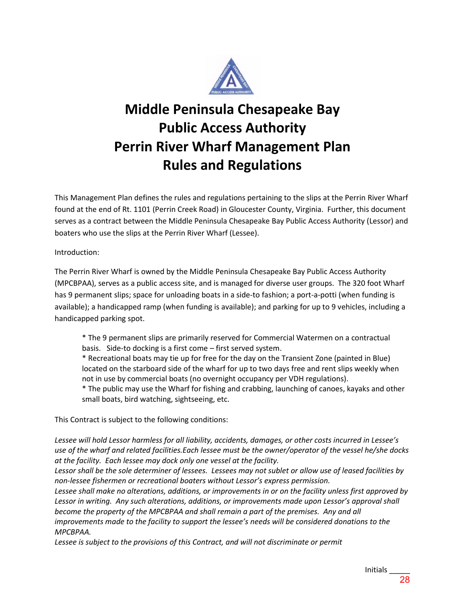

# **Middle Peninsula Chesapeake Bay Public Access Authority Perrin River Wharf Management Plan Rules and Regulations**

This Management Plan defines the rules and regulations pertaining to the slips at the Perrin River Wharf found at the end of Rt. 1101 (Perrin Creek Road) in Gloucester County, Virginia. Further, this document serves as a contract between the Middle Peninsula Chesapeake Bay Public Access Authority (Lessor) and boaters who use the slips at the Perrin River Wharf (Lessee).

Introduction:

The Perrin River Wharf is owned by the Middle Peninsula Chesapeake Bay Public Access Authority (MPCBPAA), serves as a public access site, and is managed for diverse user groups. The 320 foot Wharf has 9 permanent slips; space for unloading boats in a side-to fashion; a port-a-potti (when funding is available); a handicapped ramp (when funding is available); and parking for up to 9 vehicles, including a handicapped parking spot.

\* The 9 permanent slips are primarily reserved for Commercial Watermen on a contractual basis. Side-to docking is a first come – first served system.

\* Recreational boats may tie up for free for the day on the Transient Zone (painted in Blue) located on the starboard side of the wharf for up to two days free and rent slips weekly when not in use by commercial boats (no overnight occupancy per VDH regulations).

\* The public may use the Wharf for fishing and crabbing, launching of canoes, kayaks and other small boats, bird watching, sightseeing, etc.

This Contract is subject to the following conditions:

*Lessee will hold Lessor harmless for all liability, accidents, damages, or other costs incurred in Lessee's use of the wharf and related facilities.Each lessee must be the owner/operator of the vessel he/she docks at the facility. Each lessee may dock only one vessel at the facility.* 

*Lessor shall be the sole determiner of lessees. Lessees may not sublet or allow use of leased facilities by non-lessee fishermen or recreational boaters without Lessor's express permission.*

*Lessee shall make no alterations, additions, or improvements in or on the facility unless first approved by*  Lessor in writing. Any such alterations, additions, or improvements made upon Lessor's approval shall *become the property of the MPCBPAA and shall remain a part of the premises. Any and all* 

*improvements made to the facility to support the lessee's needs will be considered donations to the MPCBPAA.* 

Lessee is subject to the provisions of this Contract, and will not discriminate or permit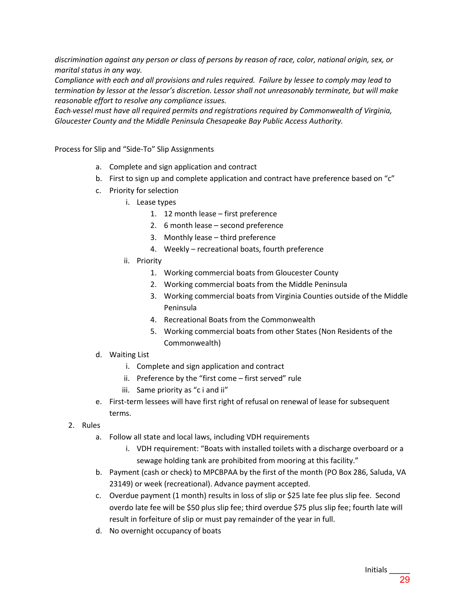*discrimination against any person or class of persons by reason of race, color, national origin, sex, or marital status in any way.* 

*Compliance with each and all provisions and rules required. Failure by lessee to comply may lead to termination by lessor at the lessor's discretion. Lessor shall not unreasonably terminate, but will make reasonable effort to resolve any compliance issues.* 

*Each vessel must have all required permits and registrations required by Commonwealth of Virginia, Gloucester County and the Middle Peninsula Chesapeake Bay Public Access Authority.* 

Process for Slip and "Side-To" Slip Assignments

- a. Complete and sign application and contract
- b. First to sign up and complete application and contract have preference based on "c"
- c. Priority for selection
	- i. Lease types
		- 1. 12 month lease first preference
		- 2. 6 month lease second preference
		- 3. Monthly lease third preference
		- 4. Weekly recreational boats, fourth preference
	- ii. Priority
		- 1. Working commercial boats from Gloucester County
		- 2. Working commercial boats from the Middle Peninsula
		- 3. Working commercial boats from Virginia Counties outside of the Middle Peninsula
		- 4. Recreational Boats from the Commonwealth
		- 5. Working commercial boats from other States (Non Residents of the Commonwealth)
- d. Waiting List
	- i. Complete and sign application and contract
	- ii. Preference by the "first come first served" rule
	- iii. Same priority as "c i and ii"
- e. First-term lessees will have first right of refusal on renewal of lease for subsequent terms.
- 2. Rules
	- a. Follow all state and local laws, including VDH requirements
		- i. VDH requirement: "Boats with installed toilets with a discharge overboard or a sewage holding tank are prohibited from mooring at this facility."
	- b. Payment (cash or check) to MPCBPAA by the first of the month (PO Box 286, Saluda, VA 23149) or week (recreational). Advance payment accepted.
	- c. Overdue payment (1 month) results in loss of slip or \$25 late fee plus slip fee. Second overdo late fee will be \$50 plus slip fee; third overdue \$75 plus slip fee; fourth late will result in forfeiture of slip or must pay remainder of the year in full.
	- d. No overnight occupancy of boats